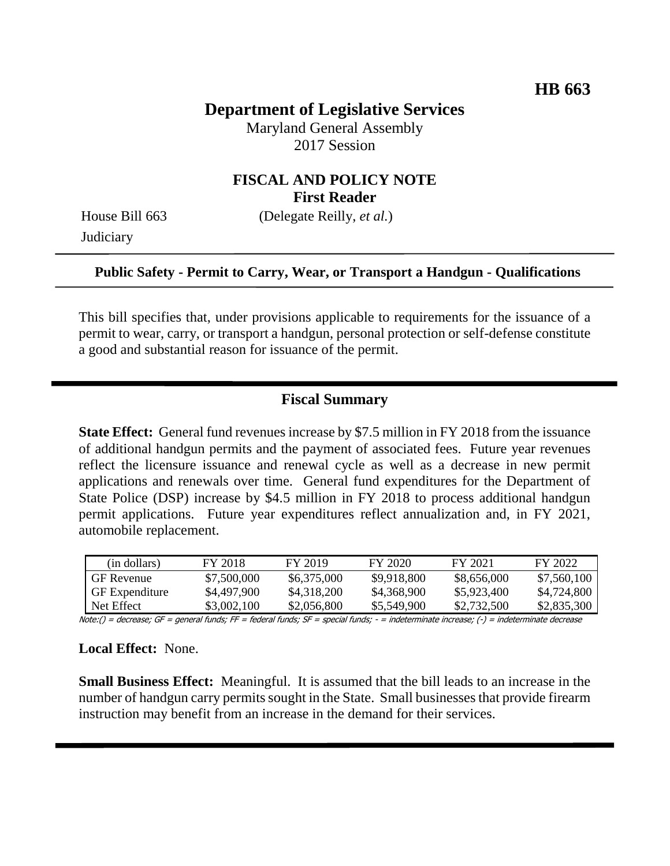# **Department of Legislative Services**

Maryland General Assembly 2017 Session

### **FISCAL AND POLICY NOTE First Reader**

**Judiciary** 

House Bill 663 (Delegate Reilly, *et al.*)

#### **Public Safety - Permit to Carry, Wear, or Transport a Handgun - Qualifications**

This bill specifies that, under provisions applicable to requirements for the issuance of a permit to wear, carry, or transport a handgun, personal protection or self-defense constitute a good and substantial reason for issuance of the permit.

### **Fiscal Summary**

**State Effect:** General fund revenues increase by \$7.5 million in FY 2018 from the issuance of additional handgun permits and the payment of associated fees. Future year revenues reflect the licensure issuance and renewal cycle as well as a decrease in new permit applications and renewals over time. General fund expenditures for the Department of State Police (DSP) increase by \$4.5 million in FY 2018 to process additional handgun permit applications. Future year expenditures reflect annualization and, in FY 2021, automobile replacement.

| (in dollars)          | FY 2018     | FY 2019     | FY 2020     | FY 2021     | FY 2022     |
|-----------------------|-------------|-------------|-------------|-------------|-------------|
| <b>GF</b> Revenue     | \$7,500,000 | \$6,375,000 | \$9,918,800 | \$8,656,000 | \$7,560,100 |
| <b>GF</b> Expenditure | \$4,497,900 | \$4,318,200 | \$4,368,900 | \$5,923,400 | \$4,724,800 |
| Net Effect            | \$3,002,100 | \$2,056,800 | \$5,549,900 | \$2,732,500 | \$2,835,300 |

Note:() = decrease; GF = general funds; FF = federal funds; SF = special funds; - = indeterminate increase; (-) = indeterminate decrease

#### **Local Effect:** None.

**Small Business Effect:** Meaningful. It is assumed that the bill leads to an increase in the number of handgun carry permits sought in the State. Small businesses that provide firearm instruction may benefit from an increase in the demand for their services.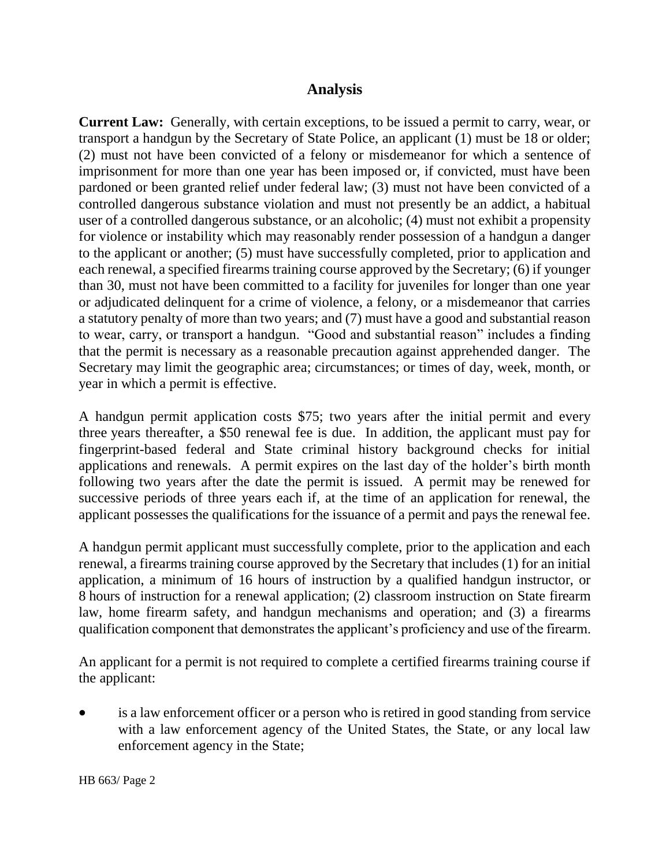### **Analysis**

**Current Law:** Generally, with certain exceptions, to be issued a permit to carry, wear, or transport a handgun by the Secretary of State Police, an applicant (1) must be 18 or older; (2) must not have been convicted of a felony or misdemeanor for which a sentence of imprisonment for more than one year has been imposed or, if convicted, must have been pardoned or been granted relief under federal law; (3) must not have been convicted of a controlled dangerous substance violation and must not presently be an addict, a habitual user of a controlled dangerous substance, or an alcoholic; (4) must not exhibit a propensity for violence or instability which may reasonably render possession of a handgun a danger to the applicant or another; (5) must have successfully completed, prior to application and each renewal, a specified firearms training course approved by the Secretary; (6) if younger than 30, must not have been committed to a facility for juveniles for longer than one year or adjudicated delinquent for a crime of violence, a felony, or a misdemeanor that carries a statutory penalty of more than two years; and (7) must have a good and substantial reason to wear, carry, or transport a handgun. "Good and substantial reason" includes a finding that the permit is necessary as a reasonable precaution against apprehended danger. The Secretary may limit the geographic area; circumstances; or times of day, week, month, or year in which a permit is effective.

A handgun permit application costs \$75; two years after the initial permit and every three years thereafter, a \$50 renewal fee is due. In addition, the applicant must pay for fingerprint-based federal and State criminal history background checks for initial applications and renewals. A permit expires on the last day of the holder's birth month following two years after the date the permit is issued. A permit may be renewed for successive periods of three years each if, at the time of an application for renewal, the applicant possesses the qualifications for the issuance of a permit and pays the renewal fee.

A handgun permit applicant must successfully complete, prior to the application and each renewal, a firearms training course approved by the Secretary that includes (1) for an initial application, a minimum of 16 hours of instruction by a qualified handgun instructor, or 8 hours of instruction for a renewal application; (2) classroom instruction on State firearm law, home firearm safety, and handgun mechanisms and operation; and (3) a firearms qualification component that demonstrates the applicant's proficiency and use of the firearm.

An applicant for a permit is not required to complete a certified firearms training course if the applicant:

 is a law enforcement officer or a person who is retired in good standing from service with a law enforcement agency of the United States, the State, or any local law enforcement agency in the State;

HB 663/ Page 2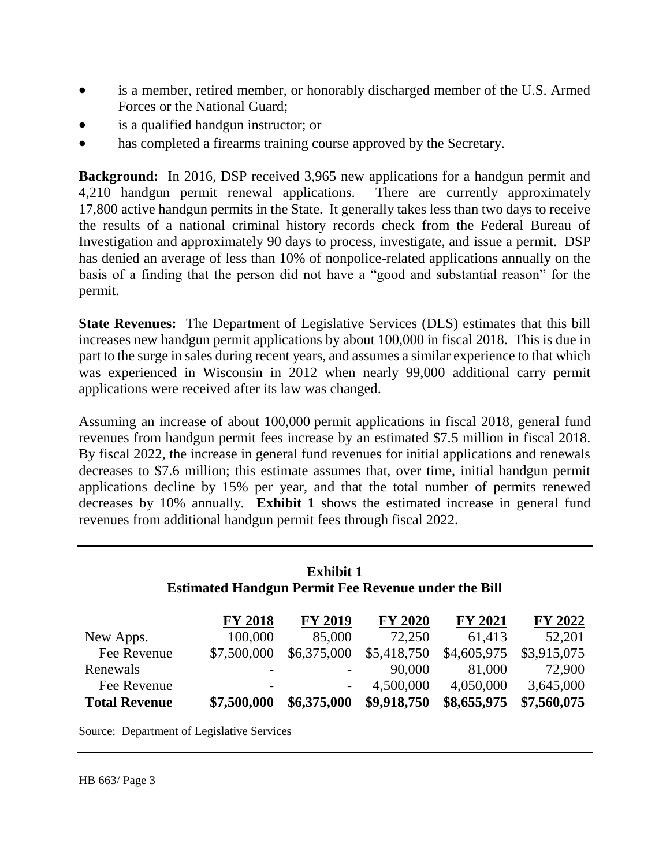- is a member, retired member, or honorably discharged member of the U.S. Armed Forces or the National Guard;
- is a qualified handgun instructor; or
- has completed a firearms training course approved by the Secretary.

**Background:** In 2016, DSP received 3,965 new applications for a handgun permit and 4,210 handgun permit renewal applications. There are currently approximately 17,800 active handgun permits in the State. It generally takes less than two days to receive the results of a national criminal history records check from the Federal Bureau of Investigation and approximately 90 days to process, investigate, and issue a permit. DSP has denied an average of less than 10% of nonpolice-related applications annually on the basis of a finding that the person did not have a "good and substantial reason" for the permit.

**State Revenues:** The Department of Legislative Services (DLS) estimates that this bill increases new handgun permit applications by about 100,000 in fiscal 2018. This is due in part to the surge in sales during recent years, and assumes a similar experience to that which was experienced in Wisconsin in 2012 when nearly 99,000 additional carry permit applications were received after its law was changed.

Assuming an increase of about 100,000 permit applications in fiscal 2018, general fund revenues from handgun permit fees increase by an estimated \$7.5 million in fiscal 2018. By fiscal 2022, the increase in general fund revenues for initial applications and renewals decreases to \$7.6 million; this estimate assumes that, over time, initial handgun permit applications decline by 15% per year, and that the total number of permits renewed decreases by 10% annually. **Exhibit 1** shows the estimated increase in general fund revenues from additional handgun permit fees through fiscal 2022.

### **Exhibit 1 Estimated Handgun Permit Fee Revenue under the Bill**

|                      | <b>FY 2018</b> | <b>FY 2019</b>           | <b>FY 2020</b> | <b>FY 2021</b> | <b>FY 2022</b> |
|----------------------|----------------|--------------------------|----------------|----------------|----------------|
| New Apps.            | 100,000        | 85,000                   | 72,250         | 61,413         | 52,201         |
| Fee Revenue          | \$7,500,000    | \$6,375,000              | \$5,418,750    | \$4,605,975    | \$3,915,075    |
| Renewals             |                |                          | 90,000         | 81,000         | 72,900         |
| Fee Revenue          |                | $\overline{\phantom{a}}$ | 4,500,000      | 4,050,000      | 3,645,000      |
| <b>Total Revenue</b> | \$7,500,000    | \$6,375,000              | \$9,918,750    | \$8,655,975    | \$7,560,075    |

Source: Department of Legislative Services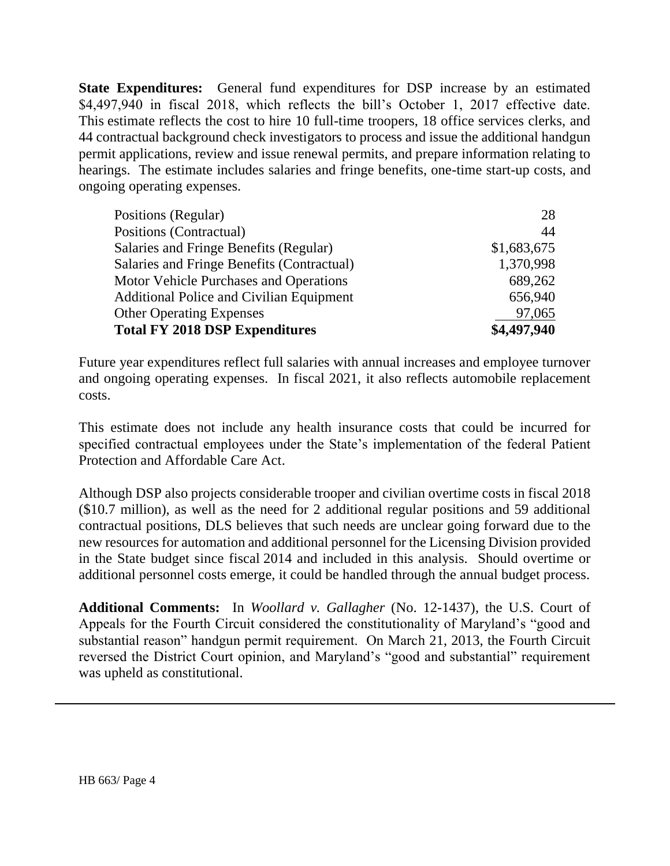**State Expenditures:** General fund expenditures for DSP increase by an estimated \$4,497,940 in fiscal 2018, which reflects the bill's October 1, 2017 effective date. This estimate reflects the cost to hire 10 full-time troopers, 18 office services clerks, and 44 contractual background check investigators to process and issue the additional handgun permit applications, review and issue renewal permits, and prepare information relating to hearings. The estimate includes salaries and fringe benefits, one-time start-up costs, and ongoing operating expenses.

| Positions (Regular)                             | 28          |
|-------------------------------------------------|-------------|
| Positions (Contractual)                         | 44          |
| Salaries and Fringe Benefits (Regular)          | \$1,683,675 |
| Salaries and Fringe Benefits (Contractual)      | 1,370,998   |
| Motor Vehicle Purchases and Operations          | 689,262     |
| <b>Additional Police and Civilian Equipment</b> | 656,940     |
| <b>Other Operating Expenses</b>                 | 97,065      |
| <b>Total FY 2018 DSP Expenditures</b>           | \$4,497,940 |

Future year expenditures reflect full salaries with annual increases and employee turnover and ongoing operating expenses. In fiscal 2021, it also reflects automobile replacement costs.

This estimate does not include any health insurance costs that could be incurred for specified contractual employees under the State's implementation of the federal Patient Protection and Affordable Care Act.

Although DSP also projects considerable trooper and civilian overtime costs in fiscal 2018 (\$10.7 million), as well as the need for 2 additional regular positions and 59 additional contractual positions, DLS believes that such needs are unclear going forward due to the new resources for automation and additional personnel for the Licensing Division provided in the State budget since fiscal 2014 and included in this analysis. Should overtime or additional personnel costs emerge, it could be handled through the annual budget process.

**Additional Comments:** In *Woollard v. Gallagher* (No. 12-1437), the U.S. Court of Appeals for the Fourth Circuit considered the constitutionality of Maryland's "good and substantial reason" handgun permit requirement. On March 21, 2013, the Fourth Circuit reversed the District Court opinion, and Maryland's "good and substantial" requirement was upheld as constitutional.